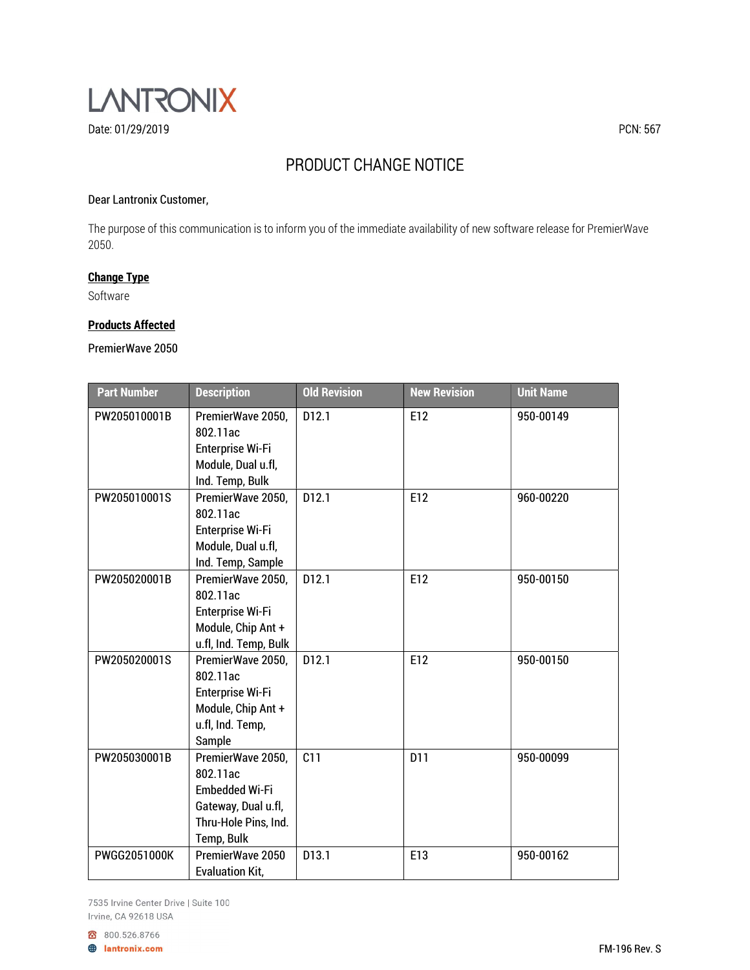

# PRODUCT CHANGE NOTICE

## Dear Lantronix Customer,

The purpose of this communication is to inform you of the immediate availability of new software release for PremierWave 2050.

# Change Type

Software

## Products Affected

PremierWave 2050

| <b>Part Number</b> | <b>Description</b>                                                                                                  | <b>Old Revision</b> | <b>New Revision</b> | <b>Unit Name</b> |
|--------------------|---------------------------------------------------------------------------------------------------------------------|---------------------|---------------------|------------------|
| PW205010001B       | PremierWave 2050,<br>802.11ac<br><b>Enterprise Wi-Fi</b><br>Module, Dual u.fl,<br>Ind. Temp, Bulk                   | D <sub>12.1</sub>   | E12                 | 950-00149        |
| PW205010001S       | PremierWave 2050,<br>802.11ac<br><b>Enterprise Wi-Fi</b><br>Module, Dual u.fl,<br>Ind. Temp, Sample                 | D12.1               | E12                 | 960-00220        |
| PW205020001B       | PremierWave 2050,<br>802.11ac<br><b>Enterprise Wi-Fi</b><br>Module, Chip Ant +<br>u.fl, Ind. Temp, Bulk             | D12.1               | E12                 | 950-00150        |
| PW205020001S       | PremierWave 2050,<br>802.11ac<br><b>Enterprise Wi-Fi</b><br>Module, Chip Ant +<br>u.fl, Ind. Temp,<br>Sample        | D12.1               | E12                 | 950-00150        |
| PW205030001B       | PremierWave 2050,<br>802.11ac<br><b>Embedded Wi-Fi</b><br>Gateway, Dual u.fl,<br>Thru-Hole Pins, Ind.<br>Temp, Bulk | C11                 | D11                 | 950-00099        |
| PWGG2051000K       | PremierWave 2050<br><b>Evaluation Kit,</b>                                                                          | D13.1               | E13                 | 950-00162        |

7535 Irvine Center Drive | Suite 100 Irvine, CA 92618 USA

800.526.8766

**A** lantronix.com